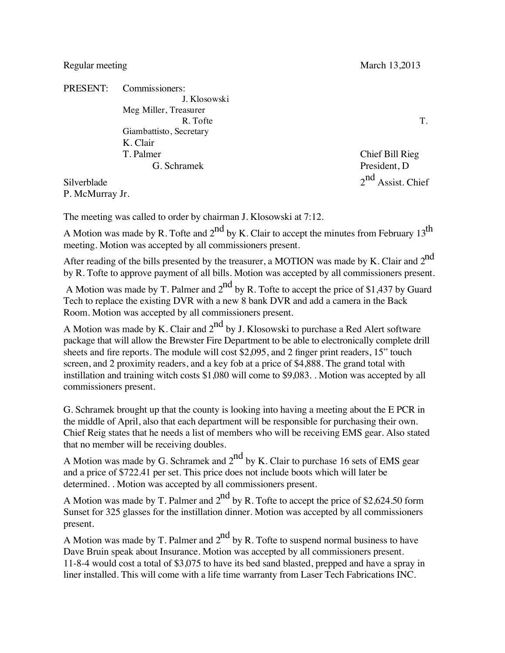## Regular meeting March 13,2013

PRESENT: Commissioners: J. Klosowski Meg Miller, Treasurer R. Tofte T. Giambattisto, Secretary K. Clair T. Palmer Chief Bill Rieg G. Schramek President, D Silverblade  $2<sup>nd</sup>$  Assist. Chief

P. McMurray Jr.

The meeting was called to order by chairman J. Klosowski at 7:12.

A Motion was made by R. Tofte and  $2^{nd}$  by K. Clair to accept the minutes from February 13<sup>th</sup> meeting. Motion was accepted by all commissioners present.

After reading of the bills presented by the treasurer, a MOTION was made by K. Clair and  $2^{nd}$ by R. Tofte to approve payment of all bills. Motion was accepted by all commissioners present.

A Motion was made by T. Palmer and  $2<sup>nd</sup>$  by R. Tofte to accept the price of \$1,437 by Guard Tech to replace the existing DVR with a new 8 bank DVR and add a camera in the Back Room. Motion was accepted by all commissioners present.

A Motion was made by K. Clair and  $2^{nd}$  by J. Klosowski to purchase a Red Alert software package that will allow the Brewster Fire Department to be able to electronically complete drill sheets and fire reports. The module will cost \$2,095, and 2 finger print readers, 15" touch screen, and 2 proximity readers, and a key fob at a price of \$4,888. The grand total with instillation and training witch costs \$1,080 will come to \$9,083. . Motion was accepted by all commissioners present.

G. Schramek brought up that the county is looking into having a meeting about the E PCR in the middle of April, also that each department will be responsible for purchasing their own. Chief Reig states that he needs a list of members who will be receiving EMS gear. Also stated that no member will be receiving doubles.

A Motion was made by G. Schramek and  $2<sup>nd</sup>$  by K. Clair to purchase 16 sets of EMS gear and a price of \$722.41 per set. This price does not include boots which will later be determined. . Motion was accepted by all commissioners present.

A Motion was made by T. Palmer and  $2^{nd}$  by R. Tofte to accept the price of \$2,624.50 form Sunset for 325 glasses for the instillation dinner. Motion was accepted by all commissioners present.

A Motion was made by T. Palmer and  $2^{nd}$  by R. Tofte to suspend normal business to have Dave Bruin speak about Insurance. Motion was accepted by all commissioners present. 11-8-4 would cost a total of \$3,075 to have its bed sand blasted, prepped and have a spray in liner installed. This will come with a life time warranty from Laser Tech Fabrications INC.